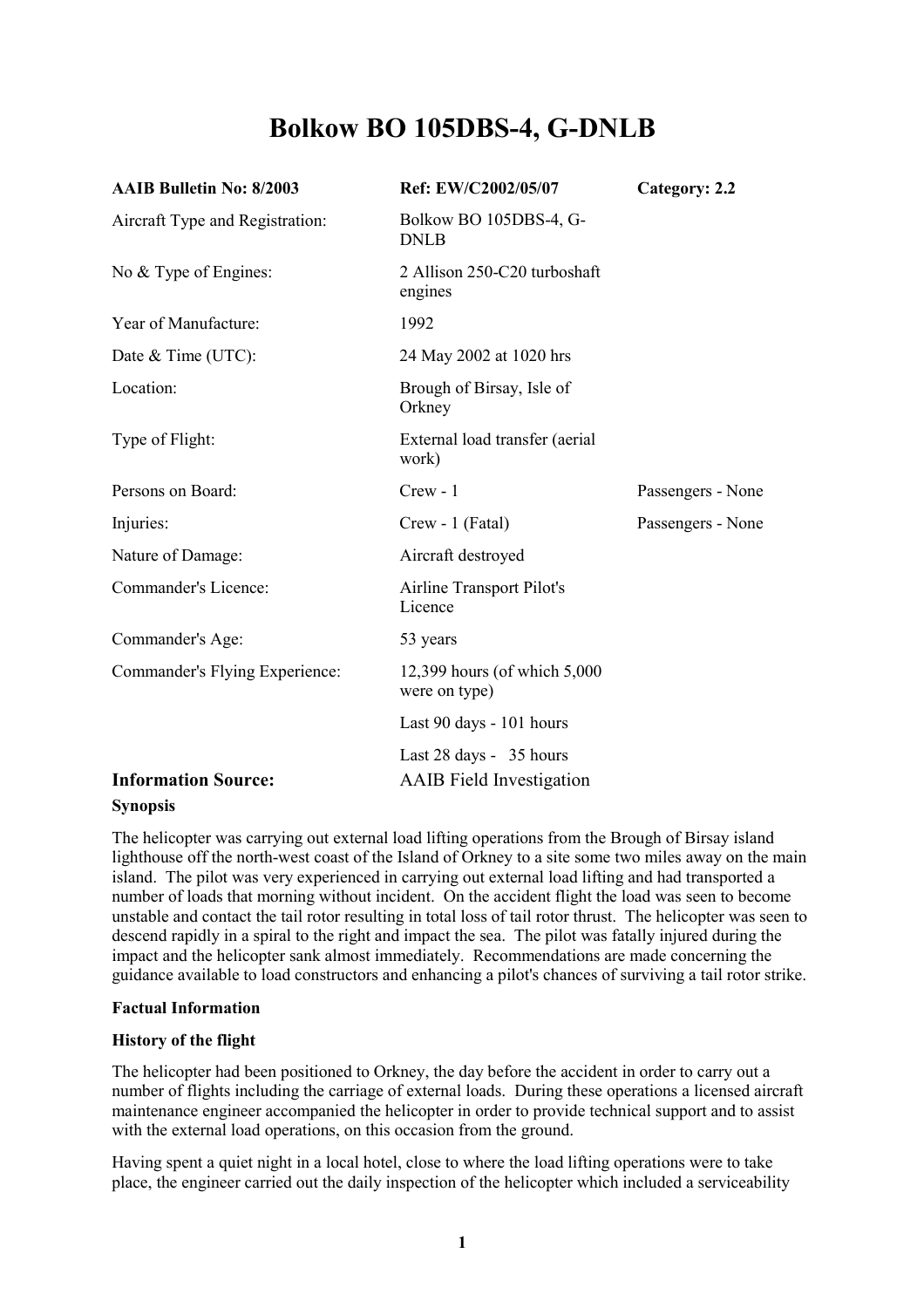# **Bolkow BO 105DBS-4, G-DNLB**

| <b>AAIB Bulletin No: 8/2003</b> | Ref: EW/C2002/05/07                                        | Category: 2.2     |
|---------------------------------|------------------------------------------------------------|-------------------|
| Aircraft Type and Registration: | Bolkow BO 105DBS-4, G-<br><b>DNLB</b>                      |                   |
| No & Type of Engines:           | 2 Allison 250-C20 turboshaft<br>engines                    |                   |
| Year of Manufacture:            | 1992                                                       |                   |
| Date & Time (UTC):              | 24 May 2002 at 1020 hrs                                    |                   |
| Location:                       | Brough of Birsay, Isle of<br>Orkney                        |                   |
| Type of Flight:                 | External load transfer (aerial<br>work)                    |                   |
| Persons on Board:               | $Crew - 1$                                                 | Passengers - None |
| Injuries:                       | Crew - 1 (Fatal)                                           | Passengers - None |
| Nature of Damage:               | Aircraft destroyed                                         |                   |
| Commander's Licence:            | <b>Airline Transport Pilot's</b><br>Licence                |                   |
| Commander's Age:                | 53 years                                                   |                   |
| Commander's Flying Experience:  | 12,399 hours (of which 5,000<br>were on type)              |                   |
|                                 | Last 90 days - 101 hours                                   |                   |
| <b>Information Source:</b>      | Last 28 days - 35 hours<br><b>AAIB</b> Field Investigation |                   |

#### **Synopsis**

The helicopter was carrying out external load lifting operations from the Brough of Birsay island lighthouse off the north-west coast of the Island of Orkney to a site some two miles away on the main island. The pilot was very experienced in carrying out external load lifting and had transported a number of loads that morning without incident. On the accident flight the load was seen to become unstable and contact the tail rotor resulting in total loss of tail rotor thrust. The helicopter was seen to descend rapidly in a spiral to the right and impact the sea. The pilot was fatally injured during the impact and the helicopter sank almost immediately. Recommendations are made concerning the guidance available to load constructors and enhancing a pilot's chances of surviving a tail rotor strike.

#### **Factual Information**

#### **History of the flight**

The helicopter had been positioned to Orkney, the day before the accident in order to carry out a number of flights including the carriage of external loads. During these operations a licensed aircraft maintenance engineer accompanied the helicopter in order to provide technical support and to assist with the external load operations, on this occasion from the ground.

Having spent a quiet night in a local hotel, close to where the load lifting operations were to take place, the engineer carried out the daily inspection of the helicopter which included a serviceability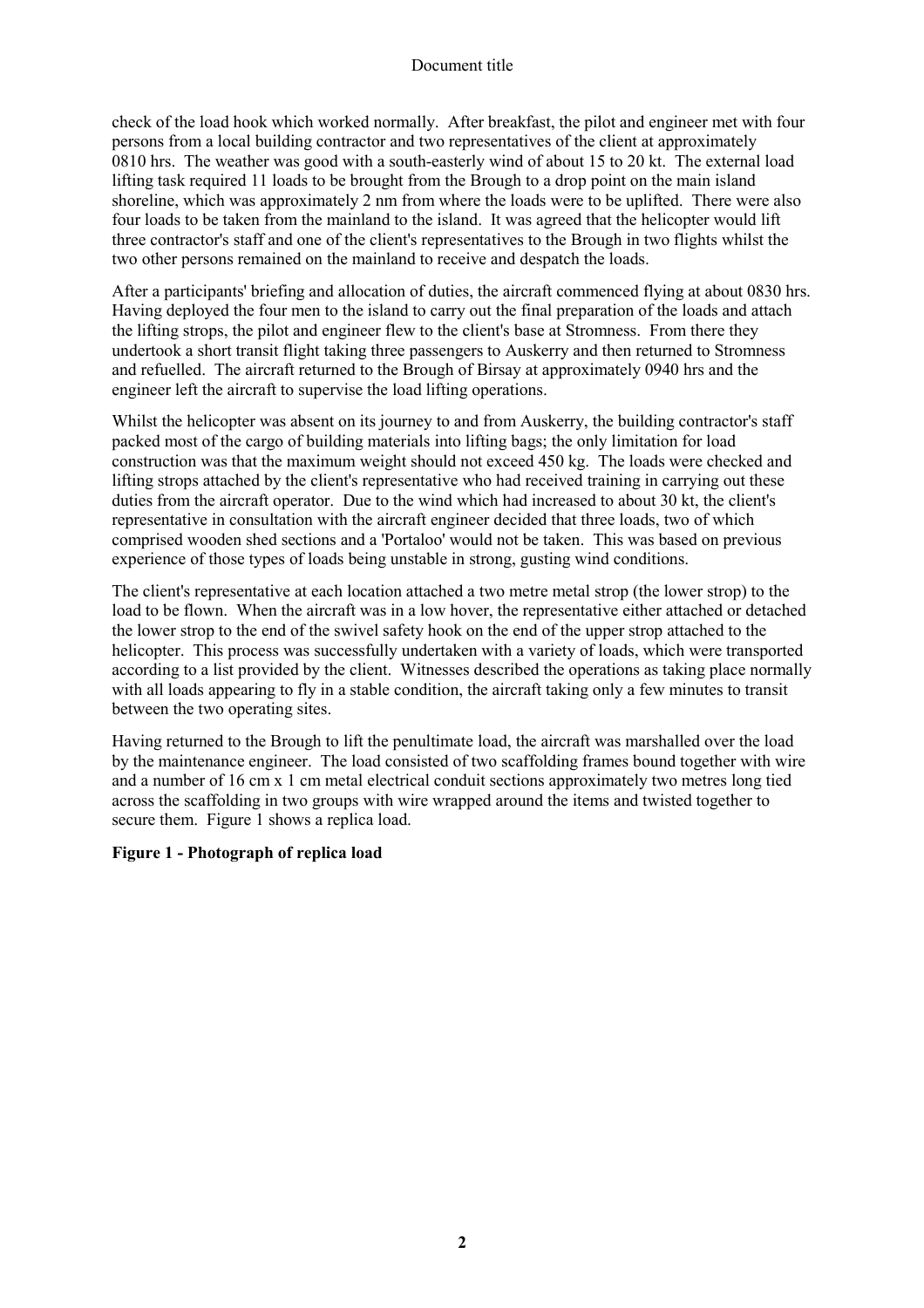check of the load hook which worked normally. After breakfast, the pilot and engineer met with four persons from a local building contractor and two representatives of the client at approximately 0810 hrs. The weather was good with a south-easterly wind of about 15 to 20 kt. The external load lifting task required 11 loads to be brought from the Brough to a drop point on the main island shoreline, which was approximately 2 nm from where the loads were to be uplifted. There were also four loads to be taken from the mainland to the island. It was agreed that the helicopter would lift three contractor's staff and one of the client's representatives to the Brough in two flights whilst the two other persons remained on the mainland to receive and despatch the loads.

After a participants' briefing and allocation of duties, the aircraft commenced flying at about 0830 hrs. Having deployed the four men to the island to carry out the final preparation of the loads and attach the lifting strops, the pilot and engineer flew to the client's base at Stromness. From there they undertook a short transit flight taking three passengers to Auskerry and then returned to Stromness and refuelled. The aircraft returned to the Brough of Birsay at approximately 0940 hrs and the engineer left the aircraft to supervise the load lifting operations.

Whilst the helicopter was absent on its journey to and from Auskerry, the building contractor's staff packed most of the cargo of building materials into lifting bags; the only limitation for load construction was that the maximum weight should not exceed 450 kg. The loads were checked and lifting strops attached by the client's representative who had received training in carrying out these duties from the aircraft operator. Due to the wind which had increased to about 30 kt, the client's representative in consultation with the aircraft engineer decided that three loads, two of which comprised wooden shed sections and a 'Portaloo' would not be taken. This was based on previous experience of those types of loads being unstable in strong, gusting wind conditions.

The client's representative at each location attached a two metre metal strop (the lower strop) to the load to be flown. When the aircraft was in a low hover, the representative either attached or detached the lower strop to the end of the swivel safety hook on the end of the upper strop attached to the helicopter. This process was successfully undertaken with a variety of loads, which were transported according to a list provided by the client. Witnesses described the operations as taking place normally with all loads appearing to fly in a stable condition, the aircraft taking only a few minutes to transit between the two operating sites.

Having returned to the Brough to lift the penultimate load, the aircraft was marshalled over the load by the maintenance engineer. The load consisted of two scaffolding frames bound together with wire and a number of 16 cm x 1 cm metal electrical conduit sections approximately two metres long tied across the scaffolding in two groups with wire wrapped around the items and twisted together to secure them. Figure 1 shows a replica load.

# **Figure 1 - Photograph of replica load**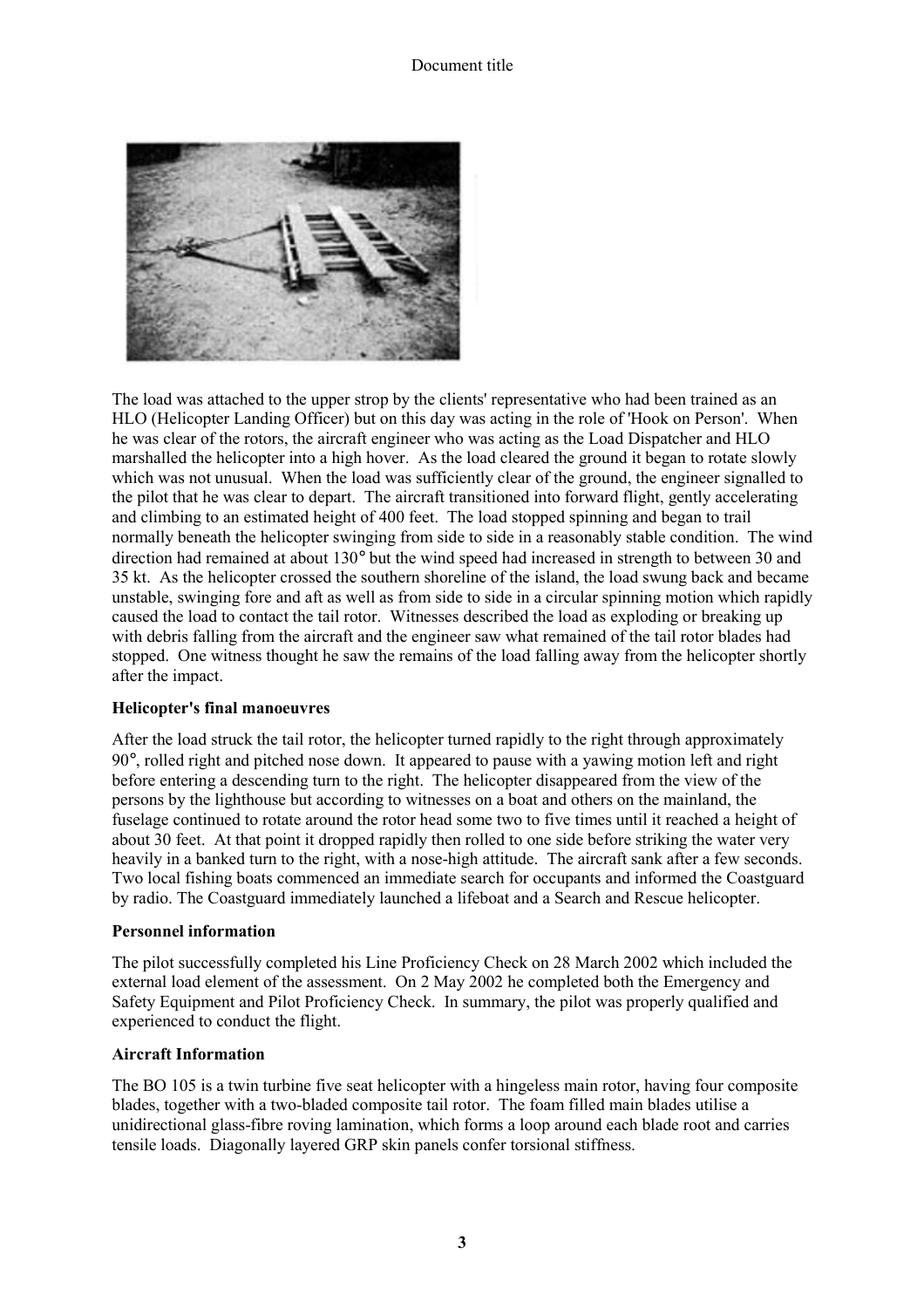

The load was attached to the upper strop by the clients' representative who had been trained as an HLO (Helicopter Landing Officer) but on this day was acting in the role of 'Hook on Person'. When he was clear of the rotors, the aircraft engineer who was acting as the Load Dispatcher and HLO marshalled the helicopter into a high hover. As the load cleared the ground it began to rotate slowly which was not unusual. When the load was sufficiently clear of the ground, the engineer signalled to the pilot that he was clear to depart. The aircraft transitioned into forward flight, gently accelerating and climbing to an estimated height of 400 feet. The load stopped spinning and began to trail normally beneath the helicopter swinging from side to side in a reasonably stable condition. The wind direction had remained at about 130° but the wind speed had increased in strength to between 30 and 35 kt. As the helicopter crossed the southern shoreline of the island, the load swung back and became unstable, swinging fore and aft as well as from side to side in a circular spinning motion which rapidly caused the load to contact the tail rotor. Witnesses described the load as exploding or breaking up with debris falling from the aircraft and the engineer saw what remained of the tail rotor blades had stopped. One witness thought he saw the remains of the load falling away from the helicopter shortly after the impact.

#### **Helicopter's final manoeuvres**

After the load struck the tail rotor, the helicopter turned rapidly to the right through approximately 90°, rolled right and pitched nose down. It appeared to pause with a yawing motion left and right before entering a descending turn to the right. The helicopter disappeared from the view of the persons by the lighthouse but according to witnesses on a boat and others on the mainland, the fuselage continued to rotate around the rotor head some two to five times until it reached a height of about 30 feet. At that point it dropped rapidly then rolled to one side before striking the water very heavily in a banked turn to the right, with a nose-high attitude. The aircraft sank after a few seconds. Two local fishing boats commenced an immediate search for occupants and informed the Coastguard by radio. The Coastguard immediately launched a lifeboat and a Search and Rescue helicopter.

#### **Personnel information**

The pilot successfully completed his Line Proficiency Check on 28 March 2002 which included the external load element of the assessment. On 2 May 2002 he completed both the Emergency and Safety Equipment and Pilot Proficiency Check. In summary, the pilot was properly qualified and experienced to conduct the flight.

#### **Aircraft Information**

The BO 105 is a twin turbine five seat helicopter with a hingeless main rotor, having four composite blades, together with a two-bladed composite tail rotor. The foam filled main blades utilise a unidirectional glass-fibre roving lamination, which forms a loop around each blade root and carries tensile loads. Diagonally layered GRP skin panels confer torsional stiffness.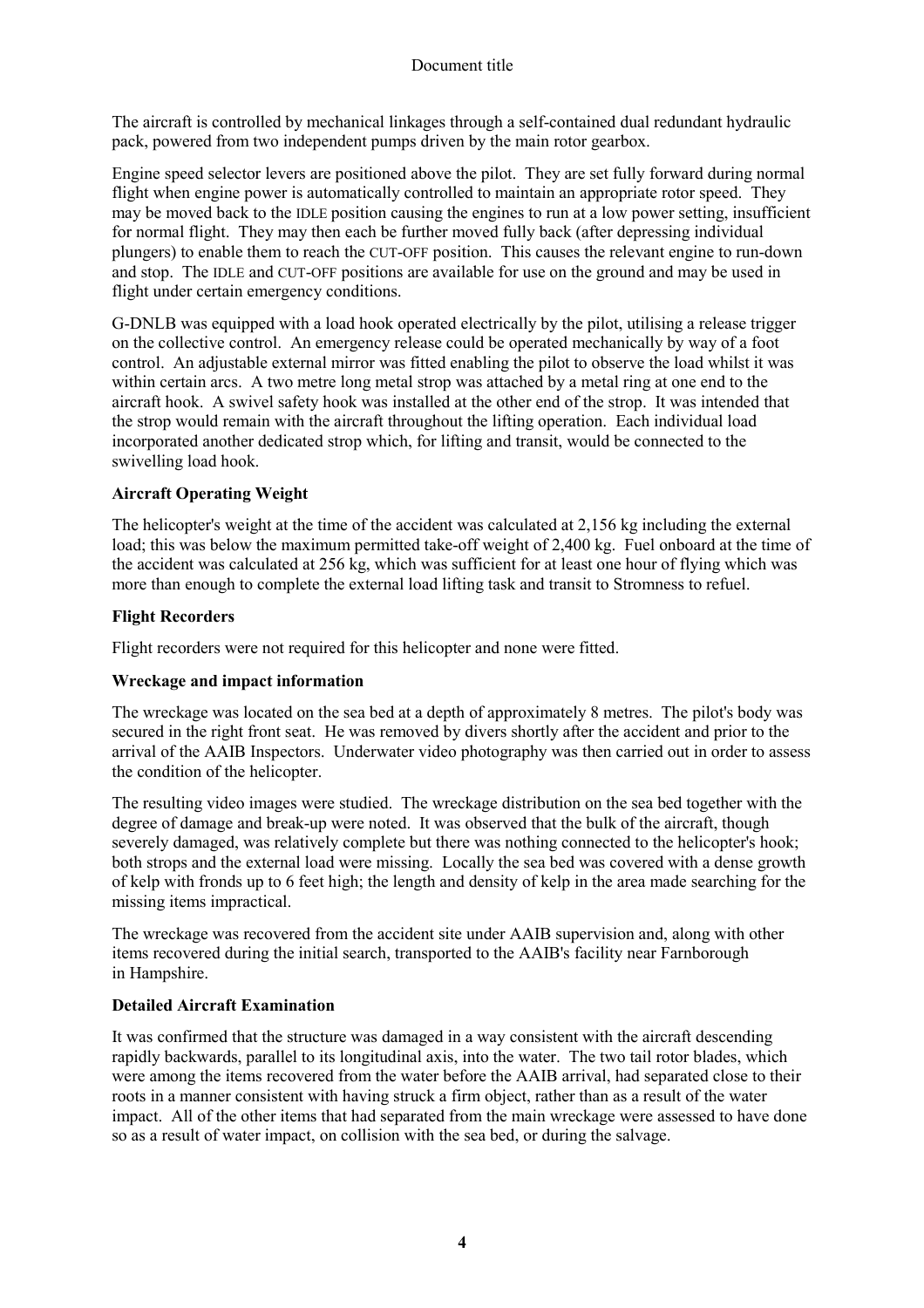The aircraft is controlled by mechanical linkages through a self-contained dual redundant hydraulic pack, powered from two independent pumps driven by the main rotor gearbox.

Engine speed selector levers are positioned above the pilot. They are set fully forward during normal flight when engine power is automatically controlled to maintain an appropriate rotor speed. They may be moved back to the IDLE position causing the engines to run at a low power setting, insufficient for normal flight. They may then each be further moved fully back (after depressing individual plungers) to enable them to reach the CUT-OFF position. This causes the relevant engine to run-down and stop. The IDLE and CUT-OFF positions are available for use on the ground and may be used in flight under certain emergency conditions.

G-DNLB was equipped with a load hook operated electrically by the pilot, utilising a release trigger on the collective control. An emergency release could be operated mechanically by way of a foot control. An adjustable external mirror was fitted enabling the pilot to observe the load whilst it was within certain arcs. A two metre long metal strop was attached by a metal ring at one end to the aircraft hook. A swivel safety hook was installed at the other end of the strop. It was intended that the strop would remain with the aircraft throughout the lifting operation. Each individual load incorporated another dedicated strop which, for lifting and transit, would be connected to the swivelling load hook.

## **Aircraft Operating Weight**

The helicopter's weight at the time of the accident was calculated at 2,156 kg including the external load; this was below the maximum permitted take-off weight of 2,400 kg. Fuel onboard at the time of the accident was calculated at 256 kg, which was sufficient for at least one hour of flying which was more than enough to complete the external load lifting task and transit to Stromness to refuel.

## **Flight Recorders**

Flight recorders were not required for this helicopter and none were fitted.

#### **Wreckage and impact information**

The wreckage was located on the sea bed at a depth of approximately 8 metres. The pilot's body was secured in the right front seat. He was removed by divers shortly after the accident and prior to the arrival of the AAIB Inspectors. Underwater video photography was then carried out in order to assess the condition of the helicopter.

The resulting video images were studied. The wreckage distribution on the sea bed together with the degree of damage and break-up were noted. It was observed that the bulk of the aircraft, though severely damaged, was relatively complete but there was nothing connected to the helicopter's hook; both strops and the external load were missing. Locally the sea bed was covered with a dense growth of kelp with fronds up to 6 feet high; the length and density of kelp in the area made searching for the missing items impractical.

The wreckage was recovered from the accident site under AAIB supervision and, along with other items recovered during the initial search, transported to the AAIB's facility near Farnborough in Hampshire.

# **Detailed Aircraft Examination**

It was confirmed that the structure was damaged in a way consistent with the aircraft descending rapidly backwards, parallel to its longitudinal axis, into the water. The two tail rotor blades, which were among the items recovered from the water before the AAIB arrival, had separated close to their roots in a manner consistent with having struck a firm object, rather than as a result of the water impact. All of the other items that had separated from the main wreckage were assessed to have done so as a result of water impact, on collision with the sea bed, or during the salvage.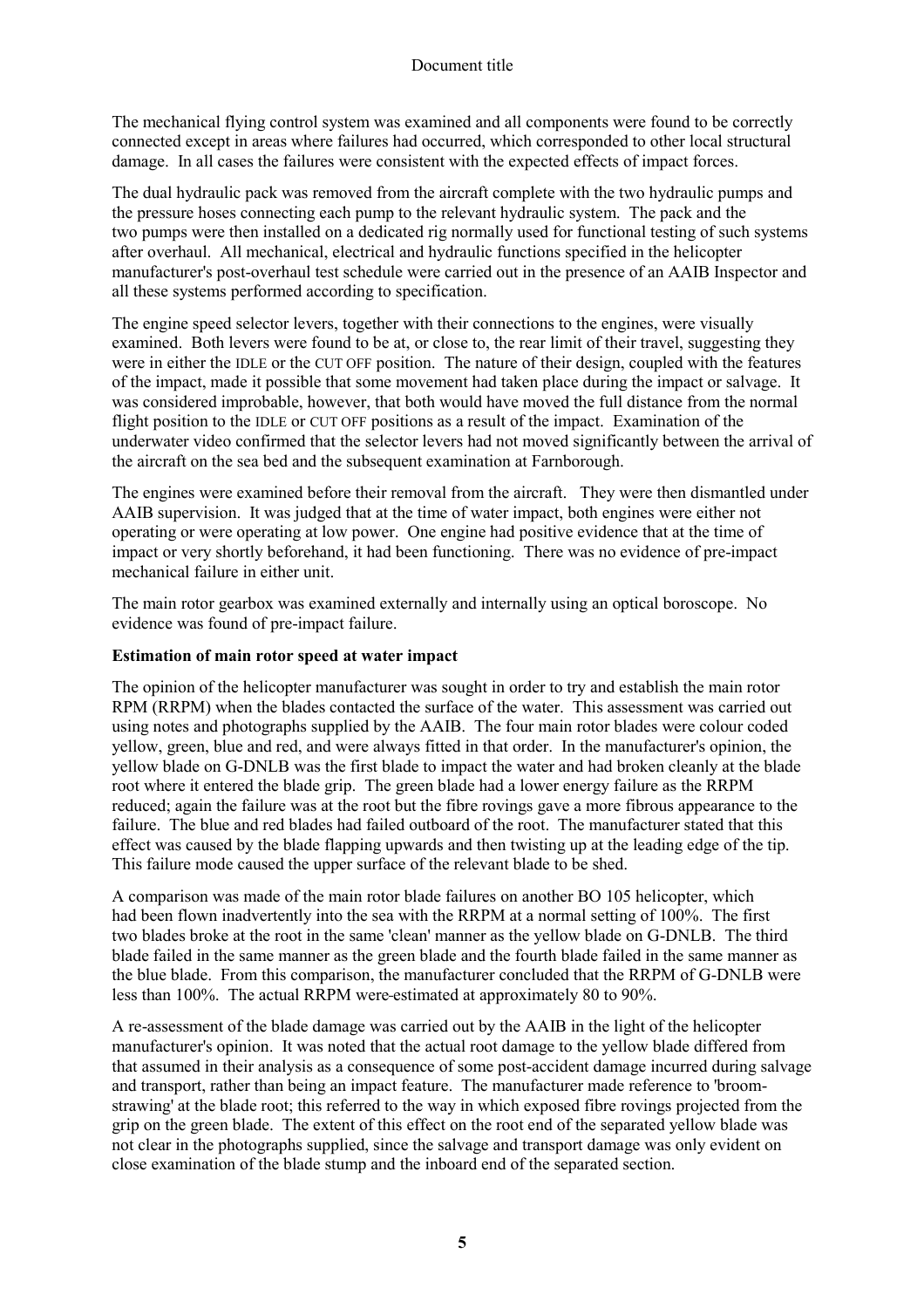The mechanical flying control system was examined and all components were found to be correctly connected except in areas where failures had occurred, which corresponded to other local structural damage. In all cases the failures were consistent with the expected effects of impact forces.

The dual hydraulic pack was removed from the aircraft complete with the two hydraulic pumps and the pressure hoses connecting each pump to the relevant hydraulic system. The pack and the two pumps were then installed on a dedicated rig normally used for functional testing of such systems after overhaul. All mechanical, electrical and hydraulic functions specified in the helicopter manufacturer's post-overhaul test schedule were carried out in the presence of an AAIB Inspector and all these systems performed according to specification.

The engine speed selector levers, together with their connections to the engines, were visually examined. Both levers were found to be at, or close to, the rear limit of their travel, suggesting they were in either the IDLE or the CUT OFF position. The nature of their design, coupled with the features of the impact, made it possible that some movement had taken place during the impact or salvage. It was considered improbable, however, that both would have moved the full distance from the normal flight position to the IDLE or CUT OFF positions as a result of the impact. Examination of the underwater video confirmed that the selector levers had not moved significantly between the arrival of the aircraft on the sea bed and the subsequent examination at Farnborough.

The engines were examined before their removal from the aircraft. They were then dismantled under AAIB supervision. It was judged that at the time of water impact, both engines were either not operating or were operating at low power. One engine had positive evidence that at the time of impact or very shortly beforehand, it had been functioning. There was no evidence of pre-impact mechanical failure in either unit.

The main rotor gearbox was examined externally and internally using an optical boroscope. No evidence was found of pre-impact failure.

#### **Estimation of main rotor speed at water impact**

The opinion of the helicopter manufacturer was sought in order to try and establish the main rotor RPM (RRPM) when the blades contacted the surface of the water. This assessment was carried out using notes and photographs supplied by the AAIB. The four main rotor blades were colour coded yellow, green, blue and red, and were always fitted in that order. In the manufacturer's opinion, the yellow blade on G-DNLB was the first blade to impact the water and had broken cleanly at the blade root where it entered the blade grip. The green blade had a lower energy failure as the RRPM reduced; again the failure was at the root but the fibre rovings gave a more fibrous appearance to the failure. The blue and red blades had failed outboard of the root. The manufacturer stated that this effect was caused by the blade flapping upwards and then twisting up at the leading edge of the tip. This failure mode caused the upper surface of the relevant blade to be shed.

A comparison was made of the main rotor blade failures on another BO 105 helicopter, which had been flown inadvertently into the sea with the RRPM at a normal setting of 100%. The first two blades broke at the root in the same 'clean' manner as the yellow blade on G-DNLB. The third blade failed in the same manner as the green blade and the fourth blade failed in the same manner as the blue blade. From this comparison, the manufacturer concluded that the RRPM of G-DNLB were less than 100%. The actual RRPM were estimated at approximately 80 to 90%.

A re-assessment of the blade damage was carried out by the AAIB in the light of the helicopter manufacturer's opinion. It was noted that the actual root damage to the yellow blade differed from that assumed in their analysis as a consequence of some post-accident damage incurred during salvage and transport, rather than being an impact feature. The manufacturer made reference to 'broomstrawing' at the blade root; this referred to the way in which exposed fibre rovings projected from the grip on the green blade. The extent of this effect on the root end of the separated yellow blade was not clear in the photographs supplied, since the salvage and transport damage was only evident on close examination of the blade stump and the inboard end of the separated section.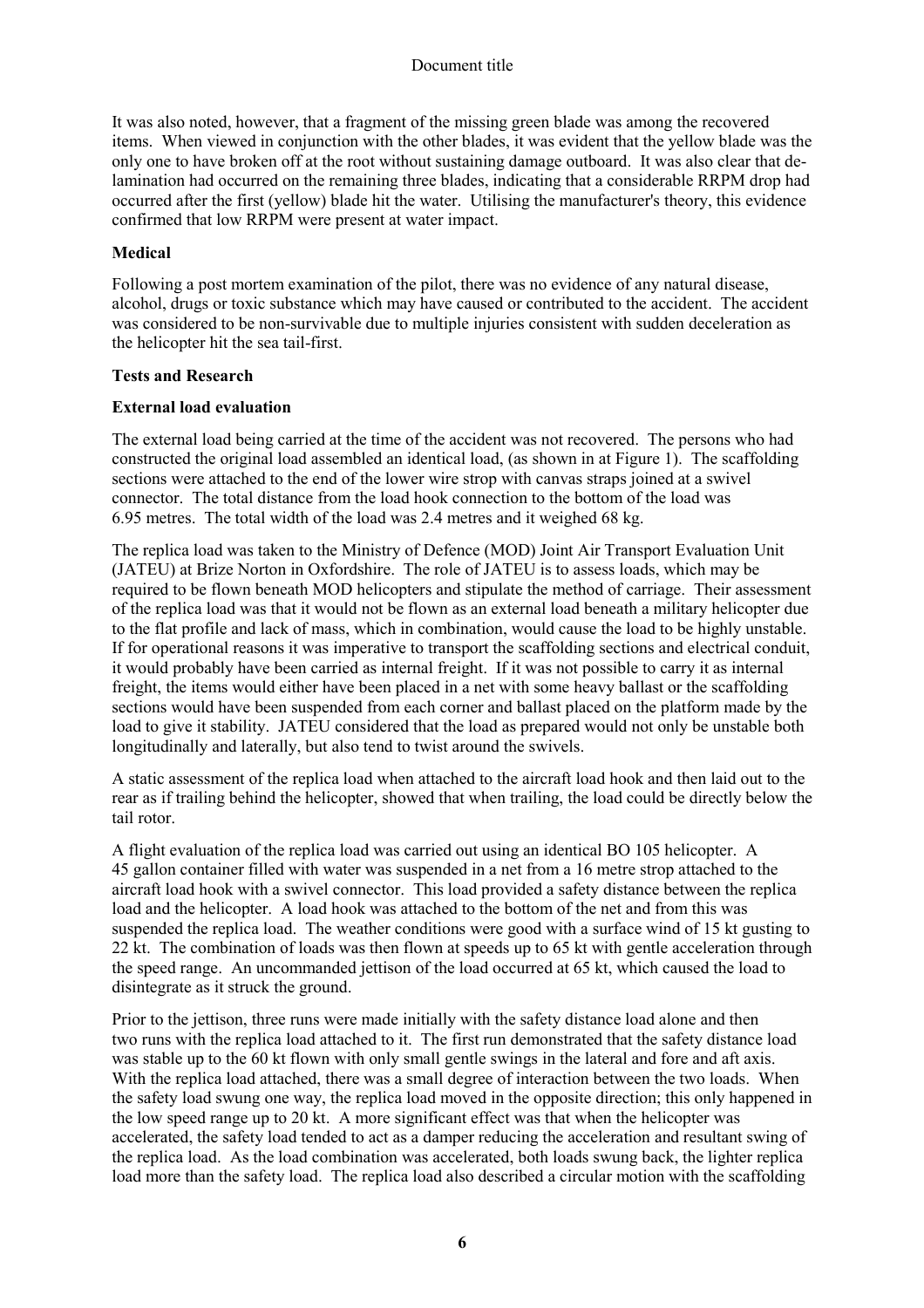It was also noted, however, that a fragment of the missing green blade was among the recovered items. When viewed in conjunction with the other blades, it was evident that the yellow blade was the only one to have broken off at the root without sustaining damage outboard. It was also clear that delamination had occurred on the remaining three blades, indicating that a considerable RRPM drop had occurred after the first (yellow) blade hit the water. Utilising the manufacturer's theory, this evidence confirmed that low RRPM were present at water impact.

# **Medical**

Following a post mortem examination of the pilot, there was no evidence of any natural disease, alcohol, drugs or toxic substance which may have caused or contributed to the accident. The accident was considered to be non-survivable due to multiple injuries consistent with sudden deceleration as the helicopter hit the sea tail-first.

# **Tests and Research**

# **External load evaluation**

The external load being carried at the time of the accident was not recovered. The persons who had constructed the original load assembled an identical load, (as shown in at Figure 1). The scaffolding sections were attached to the end of the lower wire strop with canvas straps joined at a swivel connector. The total distance from the load hook connection to the bottom of the load was 6.95 metres. The total width of the load was 2.4 metres and it weighed 68 kg.

The replica load was taken to the Ministry of Defence (MOD) Joint Air Transport Evaluation Unit (JATEU) at Brize Norton in Oxfordshire. The role of JATEU is to assess loads, which may be required to be flown beneath MOD helicopters and stipulate the method of carriage. Their assessment of the replica load was that it would not be flown as an external load beneath a military helicopter due to the flat profile and lack of mass, which in combination, would cause the load to be highly unstable. If for operational reasons it was imperative to transport the scaffolding sections and electrical conduit, it would probably have been carried as internal freight. If it was not possible to carry it as internal freight, the items would either have been placed in a net with some heavy ballast or the scaffolding sections would have been suspended from each corner and ballast placed on the platform made by the load to give it stability. JATEU considered that the load as prepared would not only be unstable both longitudinally and laterally, but also tend to twist around the swivels.

A static assessment of the replica load when attached to the aircraft load hook and then laid out to the rear as if trailing behind the helicopter, showed that when trailing, the load could be directly below the tail rotor.

A flight evaluation of the replica load was carried out using an identical BO 105 helicopter. A 45 gallon container filled with water was suspended in a net from a 16 metre strop attached to the aircraft load hook with a swivel connector. This load provided a safety distance between the replica load and the helicopter. A load hook was attached to the bottom of the net and from this was suspended the replica load. The weather conditions were good with a surface wind of 15 kt gusting to 22 kt. The combination of loads was then flown at speeds up to 65 kt with gentle acceleration through the speed range. An uncommanded jettison of the load occurred at 65 kt, which caused the load to disintegrate as it struck the ground.

Prior to the jettison, three runs were made initially with the safety distance load alone and then two runs with the replica load attached to it. The first run demonstrated that the safety distance load was stable up to the 60 kt flown with only small gentle swings in the lateral and fore and aft axis. With the replica load attached, there was a small degree of interaction between the two loads. When the safety load swung one way, the replica load moved in the opposite direction; this only happened in the low speed range up to 20 kt. A more significant effect was that when the helicopter was accelerated, the safety load tended to act as a damper reducing the acceleration and resultant swing of the replica load. As the load combination was accelerated, both loads swung back, the lighter replica load more than the safety load. The replica load also described a circular motion with the scaffolding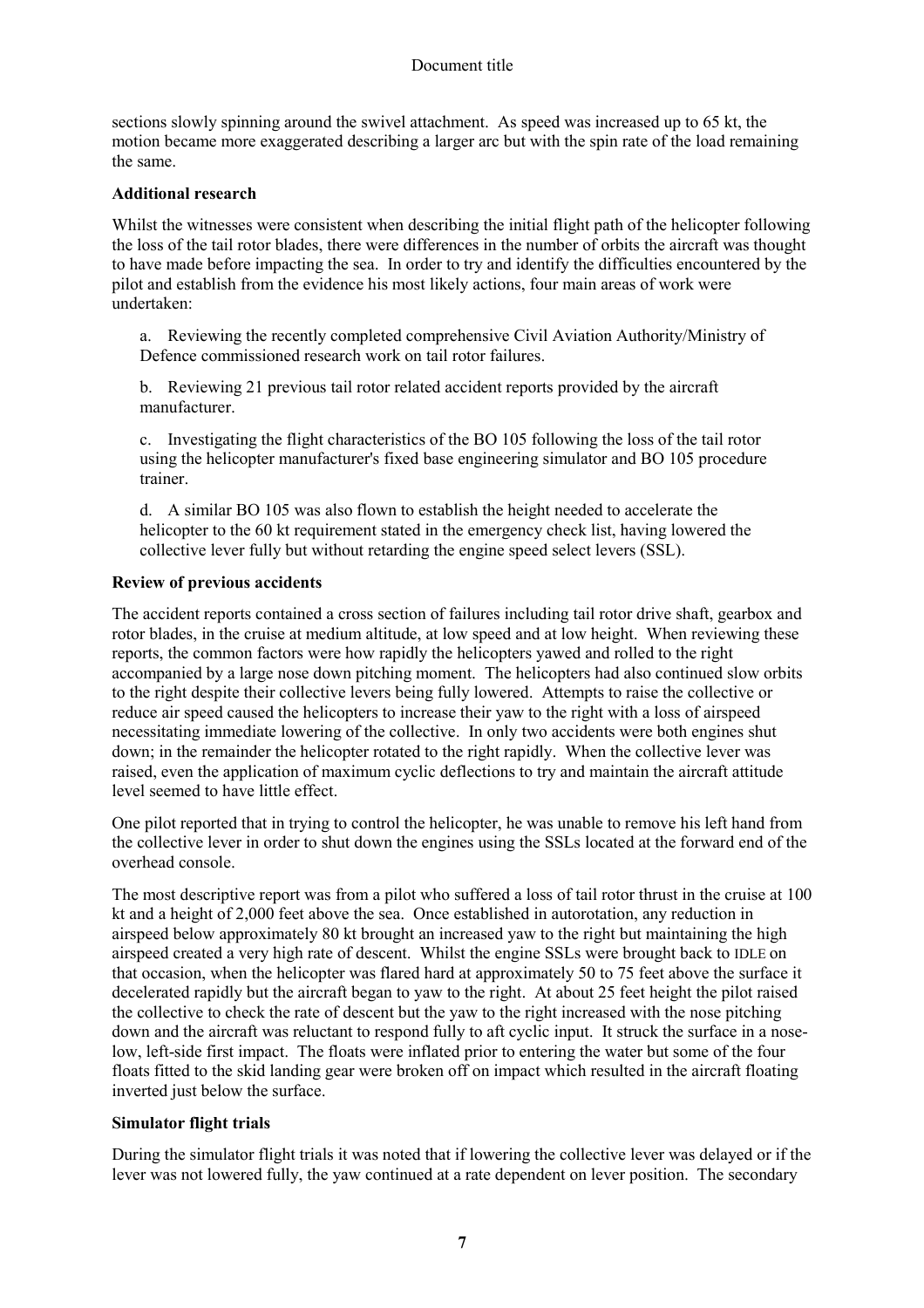sections slowly spinning around the swivel attachment. As speed was increased up to 65 kt, the motion became more exaggerated describing a larger arc but with the spin rate of the load remaining the same.

#### **Additional research**

Whilst the witnesses were consistent when describing the initial flight path of the helicopter following the loss of the tail rotor blades, there were differences in the number of orbits the aircraft was thought to have made before impacting the sea. In order to try and identify the difficulties encountered by the pilot and establish from the evidence his most likely actions, four main areas of work were undertaken:

a. Reviewing the recently completed comprehensive Civil Aviation Authority/Ministry of Defence commissioned research work on tail rotor failures.

b. Reviewing 21 previous tail rotor related accident reports provided by the aircraft manufacturer.

c. Investigating the flight characteristics of the BO 105 following the loss of the tail rotor using the helicopter manufacturer's fixed base engineering simulator and BO 105 procedure trainer.

d. A similar BO 105 was also flown to establish the height needed to accelerate the helicopter to the 60 kt requirement stated in the emergency check list, having lowered the collective lever fully but without retarding the engine speed select levers (SSL).

## **Review of previous accidents**

The accident reports contained a cross section of failures including tail rotor drive shaft, gearbox and rotor blades, in the cruise at medium altitude, at low speed and at low height. When reviewing these reports, the common factors were how rapidly the helicopters yawed and rolled to the right accompanied by a large nose down pitching moment. The helicopters had also continued slow orbits to the right despite their collective levers being fully lowered. Attempts to raise the collective or reduce air speed caused the helicopters to increase their yaw to the right with a loss of airspeed necessitating immediate lowering of the collective. In only two accidents were both engines shut down; in the remainder the helicopter rotated to the right rapidly. When the collective lever was raised, even the application of maximum cyclic deflections to try and maintain the aircraft attitude level seemed to have little effect.

One pilot reported that in trying to control the helicopter, he was unable to remove his left hand from the collective lever in order to shut down the engines using the SSLs located at the forward end of the overhead console.

The most descriptive report was from a pilot who suffered a loss of tail rotor thrust in the cruise at 100 kt and a height of 2,000 feet above the sea. Once established in autorotation, any reduction in airspeed below approximately 80 kt brought an increased yaw to the right but maintaining the high airspeed created a very high rate of descent. Whilst the engine SSLs were brought back to IDLE on that occasion, when the helicopter was flared hard at approximately 50 to 75 feet above the surface it decelerated rapidly but the aircraft began to yaw to the right. At about 25 feet height the pilot raised the collective to check the rate of descent but the yaw to the right increased with the nose pitching down and the aircraft was reluctant to respond fully to aft cyclic input. It struck the surface in a noselow, left-side first impact. The floats were inflated prior to entering the water but some of the four floats fitted to the skid landing gear were broken off on impact which resulted in the aircraft floating inverted just below the surface.

# **Simulator flight trials**

During the simulator flight trials it was noted that if lowering the collective lever was delayed or if the lever was not lowered fully, the yaw continued at a rate dependent on lever position. The secondary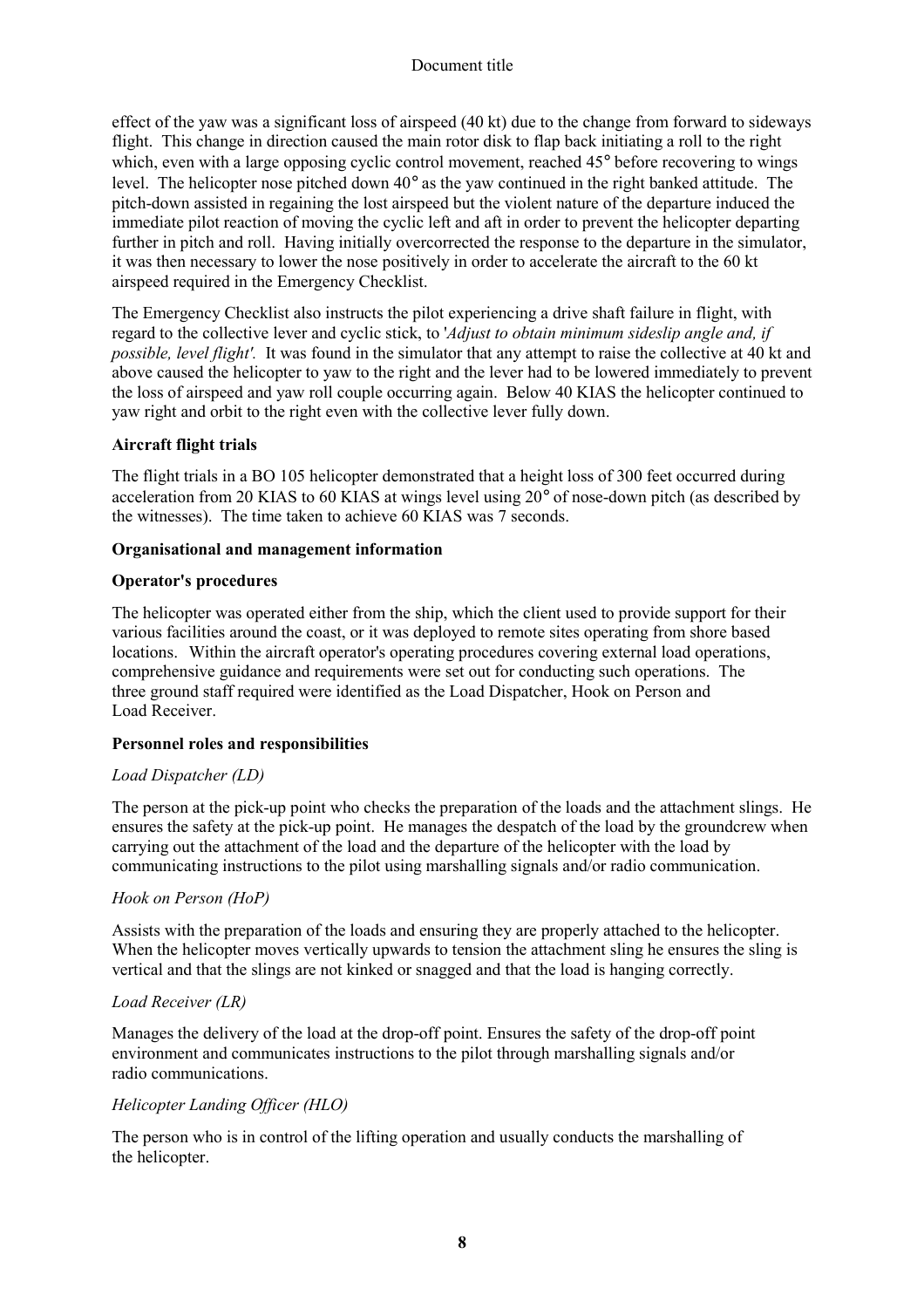effect of the yaw was a significant loss of airspeed (40 kt) due to the change from forward to sideways flight. This change in direction caused the main rotor disk to flap back initiating a roll to the right which, even with a large opposing cyclic control movement, reached 45° before recovering to wings level. The helicopter nose pitched down 40° as the yaw continued in the right banked attitude. The pitch-down assisted in regaining the lost airspeed but the violent nature of the departure induced the immediate pilot reaction of moving the cyclic left and aft in order to prevent the helicopter departing further in pitch and roll. Having initially overcorrected the response to the departure in the simulator, it was then necessary to lower the nose positively in order to accelerate the aircraft to the 60 kt airspeed required in the Emergency Checklist.

The Emergency Checklist also instructs the pilot experiencing a drive shaft failure in flight, with regard to the collective lever and cyclic stick, to '*Adjust to obtain minimum sideslip angle and, if possible, level flight'.* It was found in the simulator that any attempt to raise the collective at 40 kt and above caused the helicopter to yaw to the right and the lever had to be lowered immediately to prevent the loss of airspeed and yaw roll couple occurring again. Below 40 KIAS the helicopter continued to yaw right and orbit to the right even with the collective lever fully down.

# **Aircraft flight trials**

The flight trials in a BO 105 helicopter demonstrated that a height loss of 300 feet occurred during acceleration from 20 KIAS to 60 KIAS at wings level using 20° of nose-down pitch (as described by the witnesses). The time taken to achieve 60 KIAS was 7 seconds.

## **Organisational and management information**

## **Operator's procedures**

The helicopter was operated either from the ship, which the client used to provide support for their various facilities around the coast, or it was deployed to remote sites operating from shore based locations. Within the aircraft operator's operating procedures covering external load operations, comprehensive guidance and requirements were set out for conducting such operations. The three ground staff required were identified as the Load Dispatcher, Hook on Person and Load Receiver.

# **Personnel roles and responsibilities**

#### *Load Dispatcher (LD)*

The person at the pick-up point who checks the preparation of the loads and the attachment slings. He ensures the safety at the pick-up point. He manages the despatch of the load by the groundcrew when carrying out the attachment of the load and the departure of the helicopter with the load by communicating instructions to the pilot using marshalling signals and/or radio communication.

#### *Hook on Person (HoP)*

Assists with the preparation of the loads and ensuring they are properly attached to the helicopter. When the helicopter moves vertically upwards to tension the attachment sling he ensures the sling is vertical and that the slings are not kinked or snagged and that the load is hanging correctly.

#### *Load Receiver (LR)*

Manages the delivery of the load at the drop-off point. Ensures the safety of the drop-off point environment and communicates instructions to the pilot through marshalling signals and/or radio communications.

# *Helicopter Landing Officer (HLO)*

The person who is in control of the lifting operation and usually conducts the marshalling of the helicopter.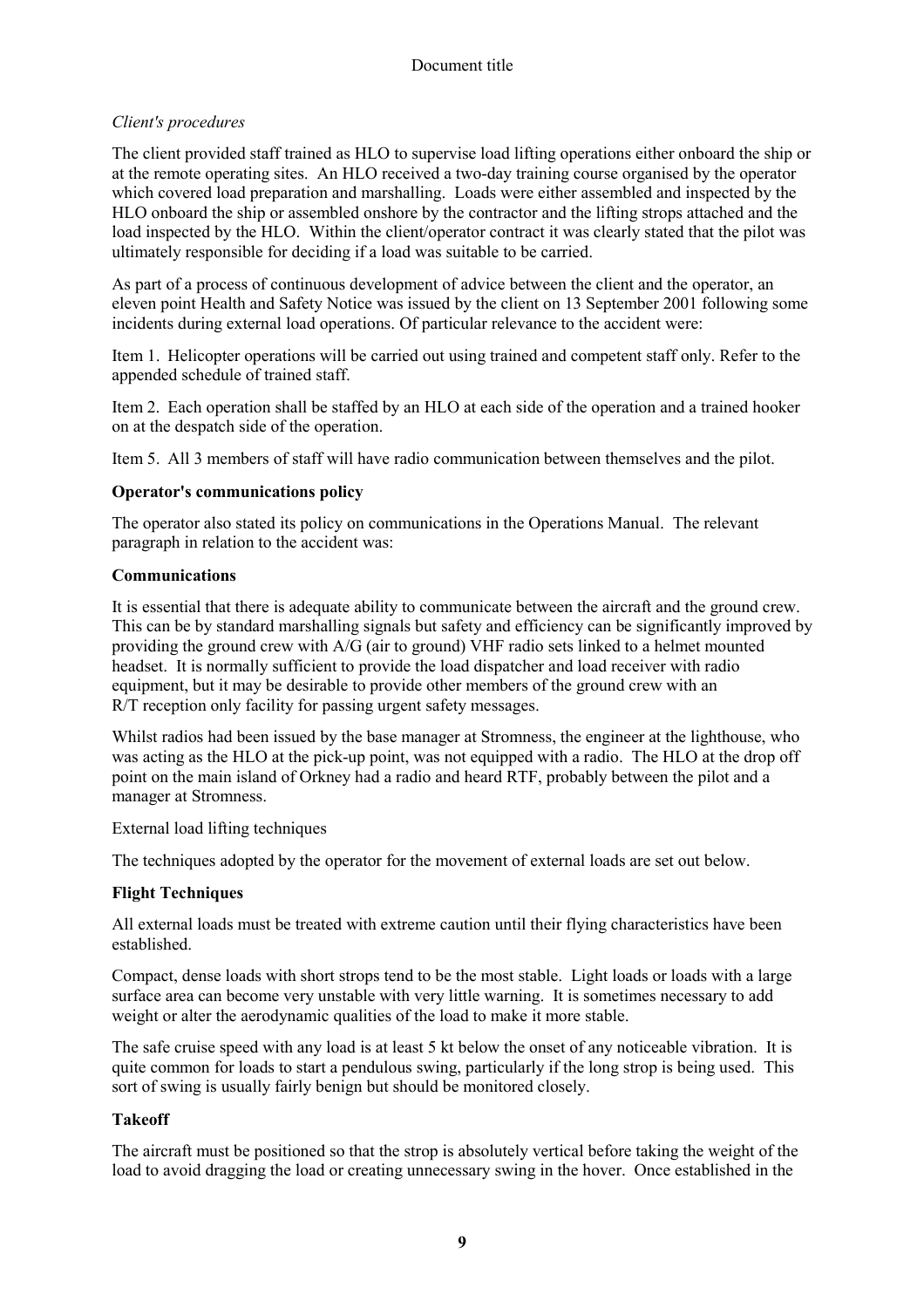# *Client's procedures*

The client provided staff trained as HLO to supervise load lifting operations either onboard the ship or at the remote operating sites. An HLO received a two-day training course organised by the operator which covered load preparation and marshalling. Loads were either assembled and inspected by the HLO onboard the ship or assembled onshore by the contractor and the lifting strops attached and the load inspected by the HLO. Within the client/operator contract it was clearly stated that the pilot was ultimately responsible for deciding if a load was suitable to be carried.

As part of a process of continuous development of advice between the client and the operator, an eleven point Health and Safety Notice was issued by the client on 13 September 2001 following some incidents during external load operations. Of particular relevance to the accident were:

Item 1. Helicopter operations will be carried out using trained and competent staff only. Refer to the appended schedule of trained staff.

Item 2. Each operation shall be staffed by an HLO at each side of the operation and a trained hooker on at the despatch side of the operation.

Item 5. All 3 members of staff will have radio communication between themselves and the pilot.

## **Operator's communications policy**

The operator also stated its policy on communications in the Operations Manual. The relevant paragraph in relation to the accident was:

## **Communications**

It is essential that there is adequate ability to communicate between the aircraft and the ground crew. This can be by standard marshalling signals but safety and efficiency can be significantly improved by providing the ground crew with A/G (air to ground) VHF radio sets linked to a helmet mounted headset. It is normally sufficient to provide the load dispatcher and load receiver with radio equipment, but it may be desirable to provide other members of the ground crew with an R/T reception only facility for passing urgent safety messages.

Whilst radios had been issued by the base manager at Stromness, the engineer at the lighthouse, who was acting as the HLO at the pick-up point, was not equipped with a radio. The HLO at the drop off point on the main island of Orkney had a radio and heard RTF, probably between the pilot and a manager at Stromness.

External load lifting techniques

The techniques adopted by the operator for the movement of external loads are set out below.

# **Flight Techniques**

All external loads must be treated with extreme caution until their flying characteristics have been established.

Compact, dense loads with short strops tend to be the most stable. Light loads or loads with a large surface area can become very unstable with very little warning. It is sometimes necessary to add weight or alter the aerodynamic qualities of the load to make it more stable.

The safe cruise speed with any load is at least 5 kt below the onset of any noticeable vibration. It is quite common for loads to start a pendulous swing, particularly if the long strop is being used. This sort of swing is usually fairly benign but should be monitored closely.

# **Takeoff**

The aircraft must be positioned so that the strop is absolutely vertical before taking the weight of the load to avoid dragging the load or creating unnecessary swing in the hover. Once established in the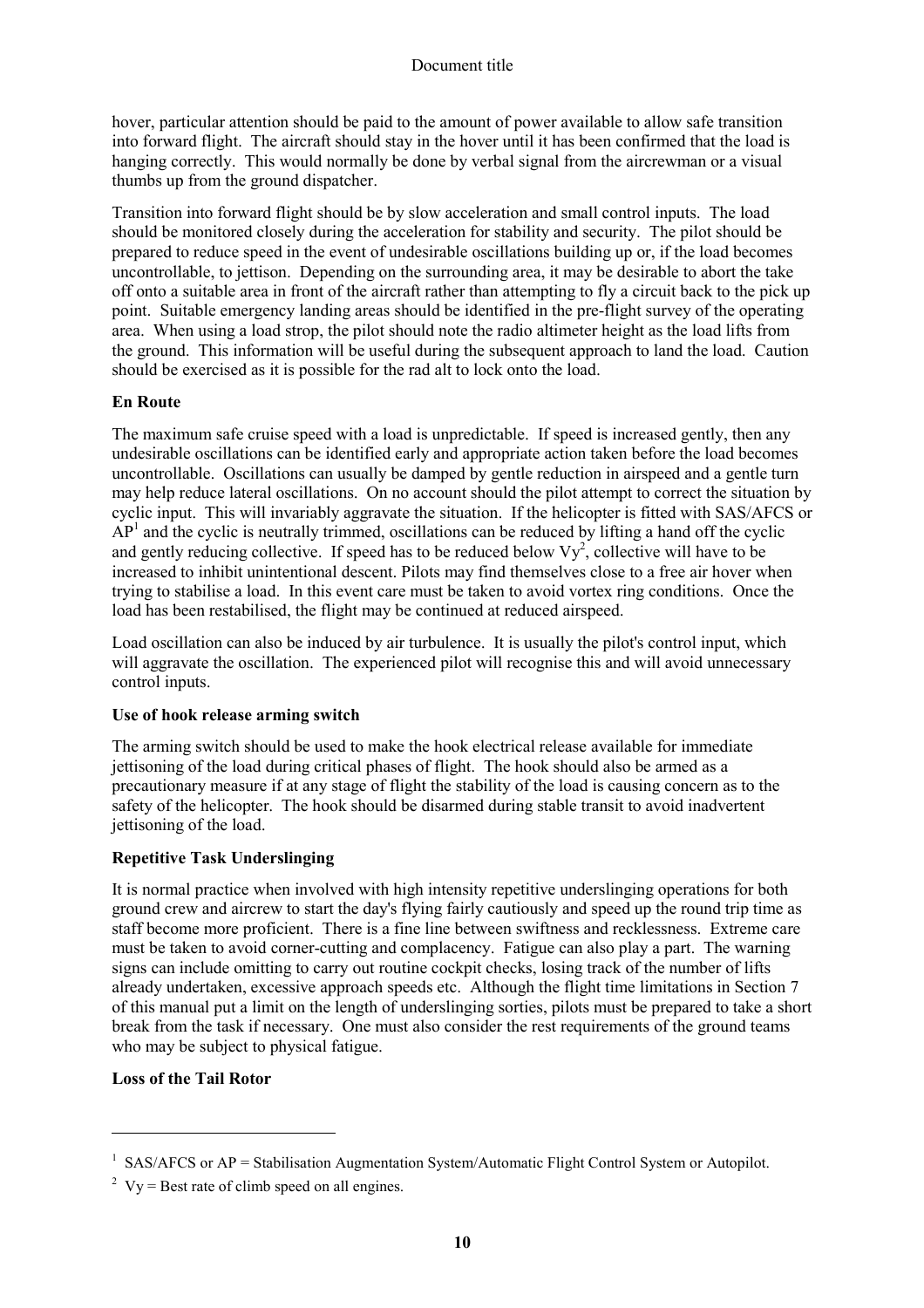hover, particular attention should be paid to the amount of power available to allow safe transition into forward flight. The aircraft should stay in the hover until it has been confirmed that the load is hanging correctly. This would normally be done by verbal signal from the aircrewman or a visual thumbs up from the ground dispatcher.

Transition into forward flight should be by slow acceleration and small control inputs. The load should be monitored closely during the acceleration for stability and security. The pilot should be prepared to reduce speed in the event of undesirable oscillations building up or, if the load becomes uncontrollable, to jettison. Depending on the surrounding area, it may be desirable to abort the take off onto a suitable area in front of the aircraft rather than attempting to fly a circuit back to the pick up point. Suitable emergency landing areas should be identified in the pre-flight survey of the operating area. When using a load strop, the pilot should note the radio altimeter height as the load lifts from the ground. This information will be useful during the subsequent approach to land the load. Caution should be exercised as it is possible for the rad alt to lock onto the load.

# **En Route**

The maximum safe cruise speed with a load is unpredictable. If speed is increased gently, then any undesirable oscillations can be identified early and appropriate action taken before the load becomes uncontrollable. Oscillations can usually be damped by gentle reduction in airspeed and a gentle turn may help reduce lateral oscillations. On no account should the pilot attempt to correct the situation by cyclic input. This will invariably aggravate the situation. If the helicopter is fitted with SAS/AFCS or  $AP<sup>1</sup>$  and the cyclic is neutrally trimmed, oscillations can be reduced by lifting a hand off the cyclic and gently reducing collective. If speed has to be reduced below  $Vy^2$ , collective will have to be increased to inhibit unintentional descent. Pilots may find themselves close to a free air hover when trying to stabilise a load. In this event care must be taken to avoid vortex ring conditions. Once the load has been restabilised, the flight may be continued at reduced airspeed.

Load oscillation can also be induced by air turbulence. It is usually the pilot's control input, which will aggravate the oscillation. The experienced pilot will recognise this and will avoid unnecessary control inputs.

#### **Use of hook release arming switch**

The arming switch should be used to make the hook electrical release available for immediate jettisoning of the load during critical phases of flight. The hook should also be armed as a precautionary measure if at any stage of flight the stability of the load is causing concern as to the safety of the helicopter. The hook should be disarmed during stable transit to avoid inadvertent jettisoning of the load.

# **Repetitive Task Underslinging**

It is normal practice when involved with high intensity repetitive underslinging operations for both ground crew and aircrew to start the day's flying fairly cautiously and speed up the round trip time as staff become more proficient. There is a fine line between swiftness and recklessness. Extreme care must be taken to avoid corner-cutting and complacency. Fatigue can also play a part. The warning signs can include omitting to carry out routine cockpit checks, losing track of the number of lifts already undertaken, excessive approach speeds etc. Although the flight time limitations in Section 7 of this manual put a limit on the length of underslinging sorties, pilots must be prepared to take a short break from the task if necessary. One must also consider the rest requirements of the ground teams who may be subject to physical fatigue.

# **Loss of the Tail Rotor**

l

<sup>&</sup>lt;sup>1</sup> SAS/AFCS or  $AP =$  Stabilisation Augmentation System/Automatic Flight Control System or Autopilot.

<sup>&</sup>lt;sup>2</sup> Vy = Best rate of climb speed on all engines.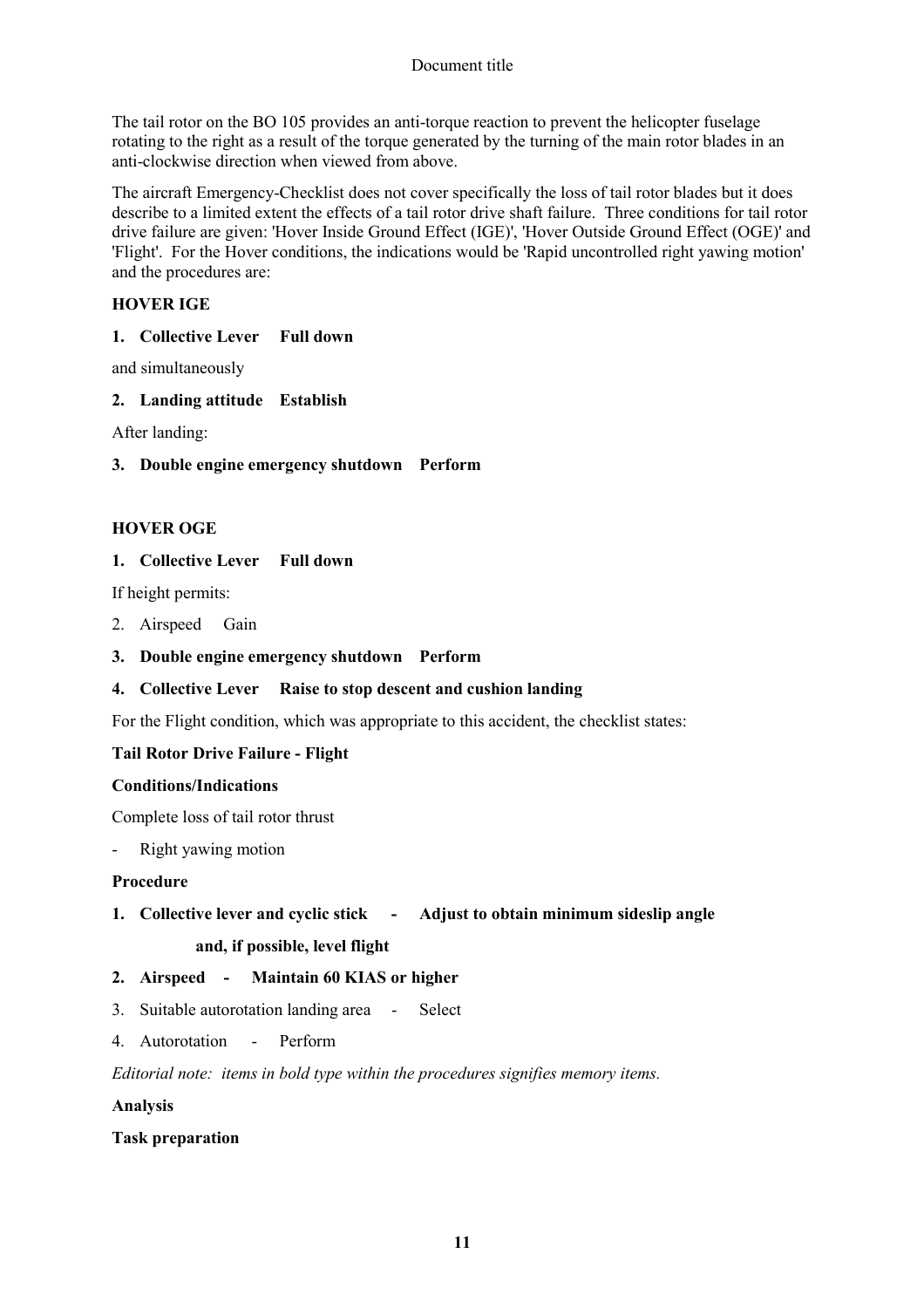The tail rotor on the BO 105 provides an anti-torque reaction to prevent the helicopter fuselage rotating to the right as a result of the torque generated by the turning of the main rotor blades in an anti-clockwise direction when viewed from above.

The aircraft Emergency-Checklist does not cover specifically the loss of tail rotor blades but it does describe to a limited extent the effects of a tail rotor drive shaft failure. Three conditions for tail rotor drive failure are given: 'Hover Inside Ground Effect (IGE)', 'Hover Outside Ground Effect (OGE)' and 'Flight'. For the Hover conditions, the indications would be 'Rapid uncontrolled right yawing motion' and the procedures are:

## **HOVER IGE**

**1. Collective Lever Full down** 

and simultaneously

**2. Landing attitude Establish** 

After landing:

**3. Double engine emergency shutdown Perform** 

## **HOVER OGE**

## **1. Collective Lever Full down**

If height permits:

- 2. Airspeed Gain
- **3. Double engine emergency shutdown Perform**

#### **4. Collective Lever Raise to stop descent and cushion landing**

For the Flight condition, which was appropriate to this accident, the checklist states:

# **Tail Rotor Drive Failure - Flight**

#### **Conditions/Indications**

Complete loss of tail rotor thrust

- Right yawing motion

#### **Procedure**

**1. Collective lever and cyclic stick - Adjust to obtain minimum sideslip angle and, if possible, level flight** 

#### **2. Airspeed - Maintain 60 KIAS or higher**

- 3. Suitable autorotation landing area Select
- 4. Autorotation Perform

*Editorial note: items in bold type within the procedures signifies memory items.* 

#### **Analysis**

#### **Task preparation**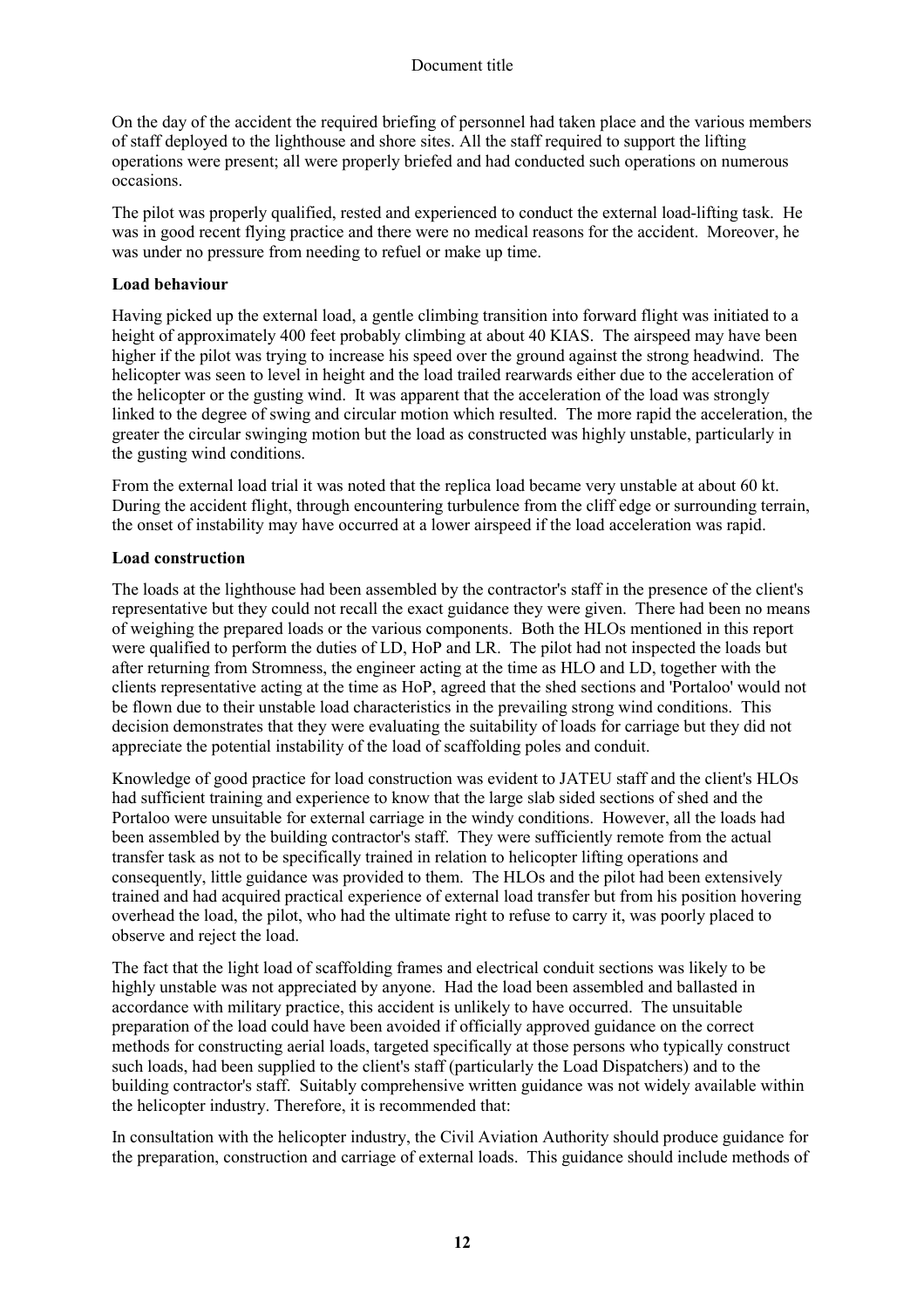On the day of the accident the required briefing of personnel had taken place and the various members of staff deployed to the lighthouse and shore sites. All the staff required to support the lifting operations were present; all were properly briefed and had conducted such operations on numerous occasions.

The pilot was properly qualified, rested and experienced to conduct the external load-lifting task. He was in good recent flying practice and there were no medical reasons for the accident. Moreover, he was under no pressure from needing to refuel or make up time.

## **Load behaviour**

Having picked up the external load, a gentle climbing transition into forward flight was initiated to a height of approximately 400 feet probably climbing at about 40 KIAS. The airspeed may have been higher if the pilot was trying to increase his speed over the ground against the strong headwind. The helicopter was seen to level in height and the load trailed rearwards either due to the acceleration of the helicopter or the gusting wind. It was apparent that the acceleration of the load was strongly linked to the degree of swing and circular motion which resulted. The more rapid the acceleration, the greater the circular swinging motion but the load as constructed was highly unstable, particularly in the gusting wind conditions.

From the external load trial it was noted that the replica load became very unstable at about 60 kt. During the accident flight, through encountering turbulence from the cliff edge or surrounding terrain, the onset of instability may have occurred at a lower airspeed if the load acceleration was rapid.

# **Load construction**

The loads at the lighthouse had been assembled by the contractor's staff in the presence of the client's representative but they could not recall the exact guidance they were given. There had been no means of weighing the prepared loads or the various components. Both the HLOs mentioned in this report were qualified to perform the duties of LD, HoP and LR. The pilot had not inspected the loads but after returning from Stromness, the engineer acting at the time as HLO and LD, together with the clients representative acting at the time as HoP, agreed that the shed sections and 'Portaloo' would not be flown due to their unstable load characteristics in the prevailing strong wind conditions. This decision demonstrates that they were evaluating the suitability of loads for carriage but they did not appreciate the potential instability of the load of scaffolding poles and conduit.

Knowledge of good practice for load construction was evident to JATEU staff and the client's HLOs had sufficient training and experience to know that the large slab sided sections of shed and the Portaloo were unsuitable for external carriage in the windy conditions. However, all the loads had been assembled by the building contractor's staff. They were sufficiently remote from the actual transfer task as not to be specifically trained in relation to helicopter lifting operations and consequently, little guidance was provided to them. The HLOs and the pilot had been extensively trained and had acquired practical experience of external load transfer but from his position hovering overhead the load, the pilot, who had the ultimate right to refuse to carry it, was poorly placed to observe and reject the load.

The fact that the light load of scaffolding frames and electrical conduit sections was likely to be highly unstable was not appreciated by anyone. Had the load been assembled and ballasted in accordance with military practice, this accident is unlikely to have occurred. The unsuitable preparation of the load could have been avoided if officially approved guidance on the correct methods for constructing aerial loads, targeted specifically at those persons who typically construct such loads, had been supplied to the client's staff (particularly the Load Dispatchers) and to the building contractor's staff. Suitably comprehensive written guidance was not widely available within the helicopter industry. Therefore, it is recommended that:

In consultation with the helicopter industry, the Civil Aviation Authority should produce guidance for the preparation, construction and carriage of external loads. This guidance should include methods of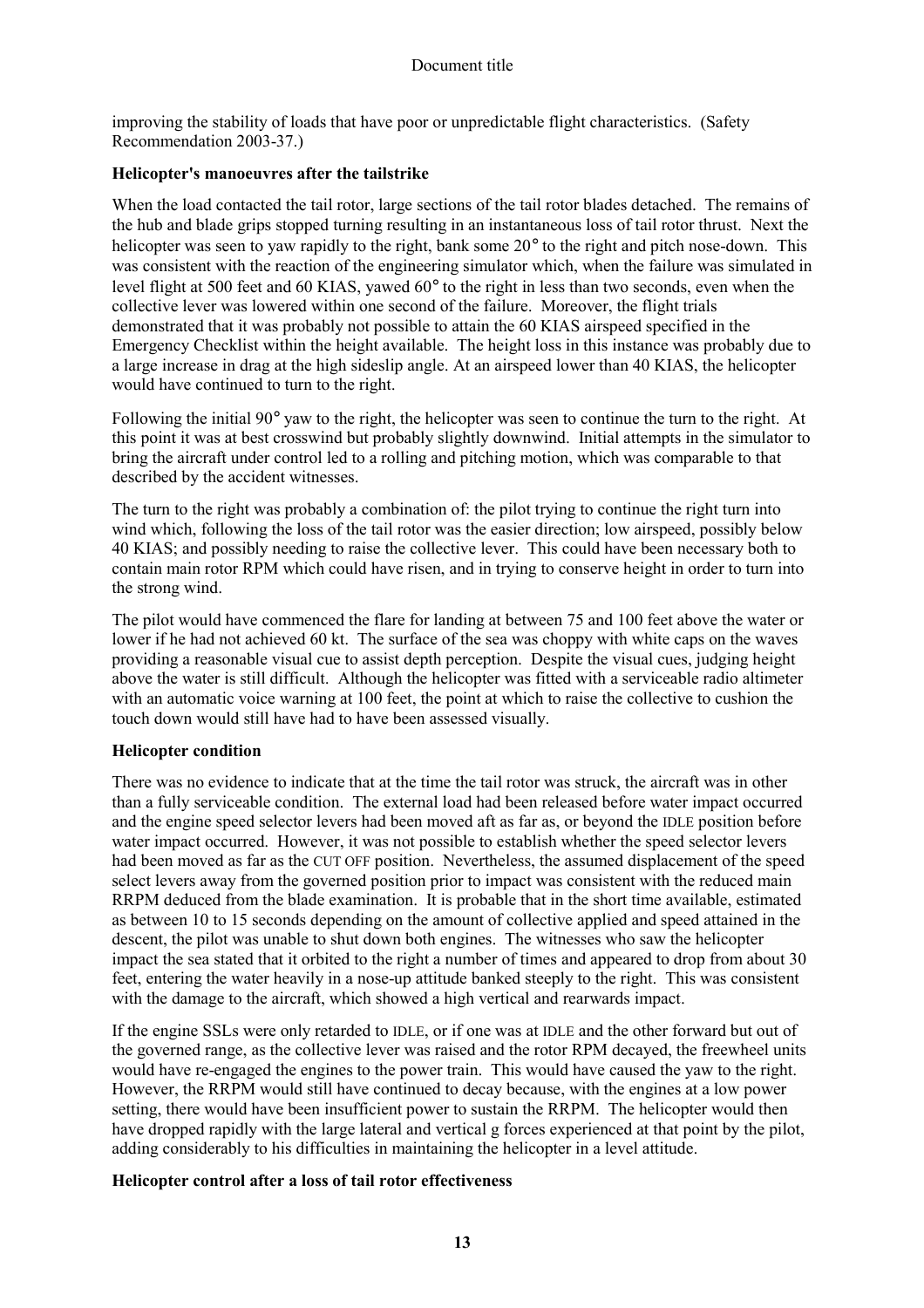improving the stability of loads that have poor or unpredictable flight characteristics. (Safety Recommendation 2003-37.)

#### **Helicopter's manoeuvres after the tailstrike**

When the load contacted the tail rotor, large sections of the tail rotor blades detached. The remains of the hub and blade grips stopped turning resulting in an instantaneous loss of tail rotor thrust. Next the helicopter was seen to yaw rapidly to the right, bank some 20° to the right and pitch nose-down. This was consistent with the reaction of the engineering simulator which, when the failure was simulated in level flight at 500 feet and 60 KIAS, yawed 60° to the right in less than two seconds, even when the collective lever was lowered within one second of the failure. Moreover, the flight trials demonstrated that it was probably not possible to attain the 60 KIAS airspeed specified in the Emergency Checklist within the height available. The height loss in this instance was probably due to a large increase in drag at the high sideslip angle. At an airspeed lower than 40 KIAS, the helicopter would have continued to turn to the right.

Following the initial 90° yaw to the right, the helicopter was seen to continue the turn to the right. At this point it was at best crosswind but probably slightly downwind. Initial attempts in the simulator to bring the aircraft under control led to a rolling and pitching motion, which was comparable to that described by the accident witnesses.

The turn to the right was probably a combination of: the pilot trying to continue the right turn into wind which, following the loss of the tail rotor was the easier direction; low airspeed, possibly below 40 KIAS; and possibly needing to raise the collective lever. This could have been necessary both to contain main rotor RPM which could have risen, and in trying to conserve height in order to turn into the strong wind.

The pilot would have commenced the flare for landing at between 75 and 100 feet above the water or lower if he had not achieved 60 kt. The surface of the sea was choppy with white caps on the waves providing a reasonable visual cue to assist depth perception. Despite the visual cues, judging height above the water is still difficult. Although the helicopter was fitted with a serviceable radio altimeter with an automatic voice warning at 100 feet, the point at which to raise the collective to cushion the touch down would still have had to have been assessed visually.

# **Helicopter condition**

There was no evidence to indicate that at the time the tail rotor was struck, the aircraft was in other than a fully serviceable condition. The external load had been released before water impact occurred and the engine speed selector levers had been moved aft as far as, or beyond the IDLE position before water impact occurred. However, it was not possible to establish whether the speed selector levers had been moved as far as the CUT OFF position. Nevertheless, the assumed displacement of the speed select levers away from the governed position prior to impact was consistent with the reduced main RRPM deduced from the blade examination. It is probable that in the short time available, estimated as between 10 to 15 seconds depending on the amount of collective applied and speed attained in the descent, the pilot was unable to shut down both engines. The witnesses who saw the helicopter impact the sea stated that it orbited to the right a number of times and appeared to drop from about 30 feet, entering the water heavily in a nose-up attitude banked steeply to the right. This was consistent with the damage to the aircraft, which showed a high vertical and rearwards impact.

If the engine SSLs were only retarded to IDLE, or if one was at IDLE and the other forward but out of the governed range, as the collective lever was raised and the rotor RPM decayed, the freewheel units would have re-engaged the engines to the power train. This would have caused the yaw to the right. However, the RRPM would still have continued to decay because, with the engines at a low power setting, there would have been insufficient power to sustain the RRPM. The helicopter would then have dropped rapidly with the large lateral and vertical g forces experienced at that point by the pilot, adding considerably to his difficulties in maintaining the helicopter in a level attitude.

#### **Helicopter control after a loss of tail rotor effectiveness**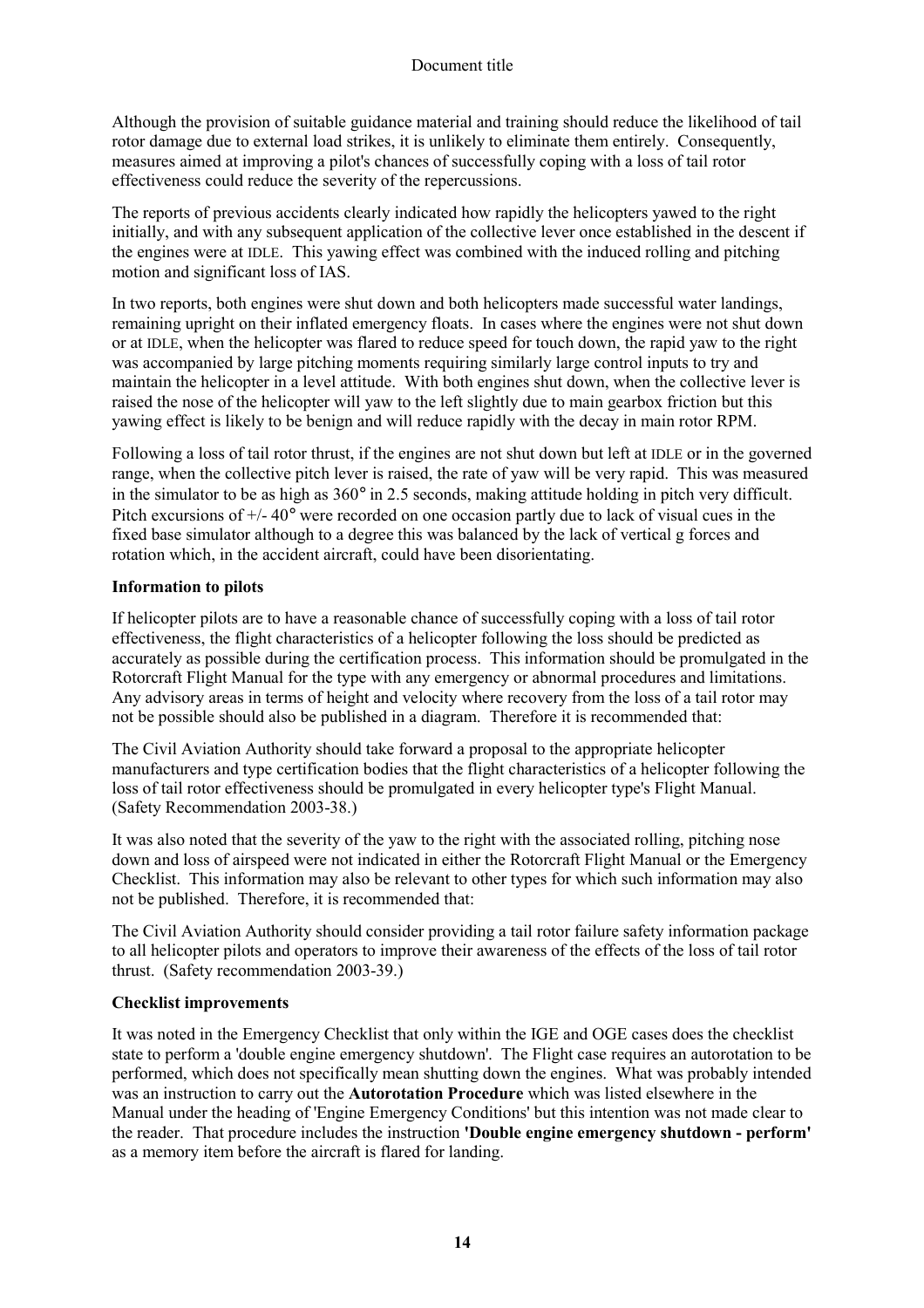Although the provision of suitable guidance material and training should reduce the likelihood of tail rotor damage due to external load strikes, it is unlikely to eliminate them entirely. Consequently, measures aimed at improving a pilot's chances of successfully coping with a loss of tail rotor effectiveness could reduce the severity of the repercussions.

The reports of previous accidents clearly indicated how rapidly the helicopters yawed to the right initially, and with any subsequent application of the collective lever once established in the descent if the engines were at IDLE. This yawing effect was combined with the induced rolling and pitching motion and significant loss of IAS.

In two reports, both engines were shut down and both helicopters made successful water landings, remaining upright on their inflated emergency floats. In cases where the engines were not shut down or at IDLE, when the helicopter was flared to reduce speed for touch down, the rapid yaw to the right was accompanied by large pitching moments requiring similarly large control inputs to try and maintain the helicopter in a level attitude. With both engines shut down, when the collective lever is raised the nose of the helicopter will yaw to the left slightly due to main gearbox friction but this yawing effect is likely to be benign and will reduce rapidly with the decay in main rotor RPM.

Following a loss of tail rotor thrust, if the engines are not shut down but left at IDLE or in the governed range, when the collective pitch lever is raised, the rate of yaw will be very rapid. This was measured in the simulator to be as high as 360° in 2.5 seconds, making attitude holding in pitch very difficult. Pitch excursions of  $+/- 40^{\circ}$  were recorded on one occasion partly due to lack of visual cues in the fixed base simulator although to a degree this was balanced by the lack of vertical g forces and rotation which, in the accident aircraft, could have been disorientating.

# **Information to pilots**

If helicopter pilots are to have a reasonable chance of successfully coping with a loss of tail rotor effectiveness, the flight characteristics of a helicopter following the loss should be predicted as accurately as possible during the certification process. This information should be promulgated in the Rotorcraft Flight Manual for the type with any emergency or abnormal procedures and limitations. Any advisory areas in terms of height and velocity where recovery from the loss of a tail rotor may not be possible should also be published in a diagram. Therefore it is recommended that:

The Civil Aviation Authority should take forward a proposal to the appropriate helicopter manufacturers and type certification bodies that the flight characteristics of a helicopter following the loss of tail rotor effectiveness should be promulgated in every helicopter type's Flight Manual. (Safety Recommendation 2003-38.)

It was also noted that the severity of the yaw to the right with the associated rolling, pitching nose down and loss of airspeed were not indicated in either the Rotorcraft Flight Manual or the Emergency Checklist. This information may also be relevant to other types for which such information may also not be published. Therefore, it is recommended that:

The Civil Aviation Authority should consider providing a tail rotor failure safety information package to all helicopter pilots and operators to improve their awareness of the effects of the loss of tail rotor thrust. (Safety recommendation 2003-39.)

#### **Checklist improvements**

It was noted in the Emergency Checklist that only within the IGE and OGE cases does the checklist state to perform a 'double engine emergency shutdown'. The Flight case requires an autorotation to be performed, which does not specifically mean shutting down the engines. What was probably intended was an instruction to carry out the **Autorotation Procedure** which was listed elsewhere in the Manual under the heading of 'Engine Emergency Conditions' but this intention was not made clear to the reader. That procedure includes the instruction **'Double engine emergency shutdown - perform'** as a memory item before the aircraft is flared for landing.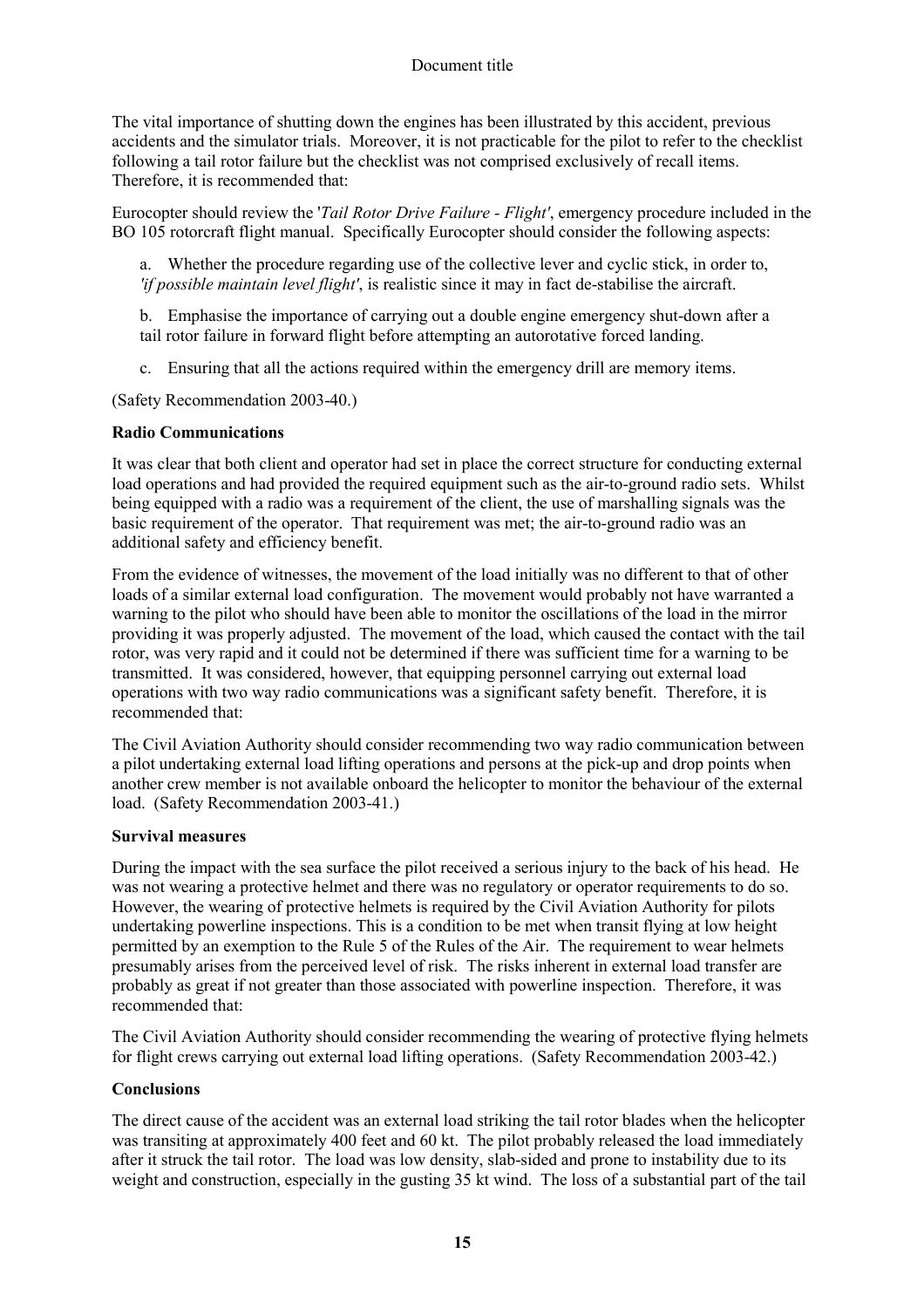The vital importance of shutting down the engines has been illustrated by this accident, previous accidents and the simulator trials. Moreover, it is not practicable for the pilot to refer to the checklist following a tail rotor failure but the checklist was not comprised exclusively of recall items. Therefore, it is recommended that:

Eurocopter should review the '*Tail Rotor Drive Failure - Flight'*, emergency procedure included in the BO 105 rotorcraft flight manual. Specifically Eurocopter should consider the following aspects:

a. Whether the procedure regarding use of the collective lever and cyclic stick, in order to, *'if possible maintain level flight'*, is realistic since it may in fact de-stabilise the aircraft.

b. Emphasise the importance of carrying out a double engine emergency shut-down after a tail rotor failure in forward flight before attempting an autorotative forced landing.

c. Ensuring that all the actions required within the emergency drill are memory items.

(Safety Recommendation 2003-40.)

## **Radio Communications**

It was clear that both client and operator had set in place the correct structure for conducting external load operations and had provided the required equipment such as the air-to-ground radio sets. Whilst being equipped with a radio was a requirement of the client, the use of marshalling signals was the basic requirement of the operator. That requirement was met; the air-to-ground radio was an additional safety and efficiency benefit.

From the evidence of witnesses, the movement of the load initially was no different to that of other loads of a similar external load configuration. The movement would probably not have warranted a warning to the pilot who should have been able to monitor the oscillations of the load in the mirror providing it was properly adjusted. The movement of the load, which caused the contact with the tail rotor, was very rapid and it could not be determined if there was sufficient time for a warning to be transmitted. It was considered, however, that equipping personnel carrying out external load operations with two way radio communications was a significant safety benefit. Therefore, it is recommended that:

The Civil Aviation Authority should consider recommending two way radio communication between a pilot undertaking external load lifting operations and persons at the pick-up and drop points when another crew member is not available onboard the helicopter to monitor the behaviour of the external load. (Safety Recommendation 2003-41.)

#### **Survival measures**

During the impact with the sea surface the pilot received a serious injury to the back of his head. He was not wearing a protective helmet and there was no regulatory or operator requirements to do so. However, the wearing of protective helmets is required by the Civil Aviation Authority for pilots undertaking powerline inspections. This is a condition to be met when transit flying at low height permitted by an exemption to the Rule 5 of the Rules of the Air. The requirement to wear helmets presumably arises from the perceived level of risk. The risks inherent in external load transfer are probably as great if not greater than those associated with powerline inspection. Therefore, it was recommended that:

The Civil Aviation Authority should consider recommending the wearing of protective flying helmets for flight crews carrying out external load lifting operations. (Safety Recommendation 2003-42.)

#### **Conclusions**

The direct cause of the accident was an external load striking the tail rotor blades when the helicopter was transiting at approximately 400 feet and 60 kt. The pilot probably released the load immediately after it struck the tail rotor. The load was low density, slab-sided and prone to instability due to its weight and construction, especially in the gusting 35 kt wind. The loss of a substantial part of the tail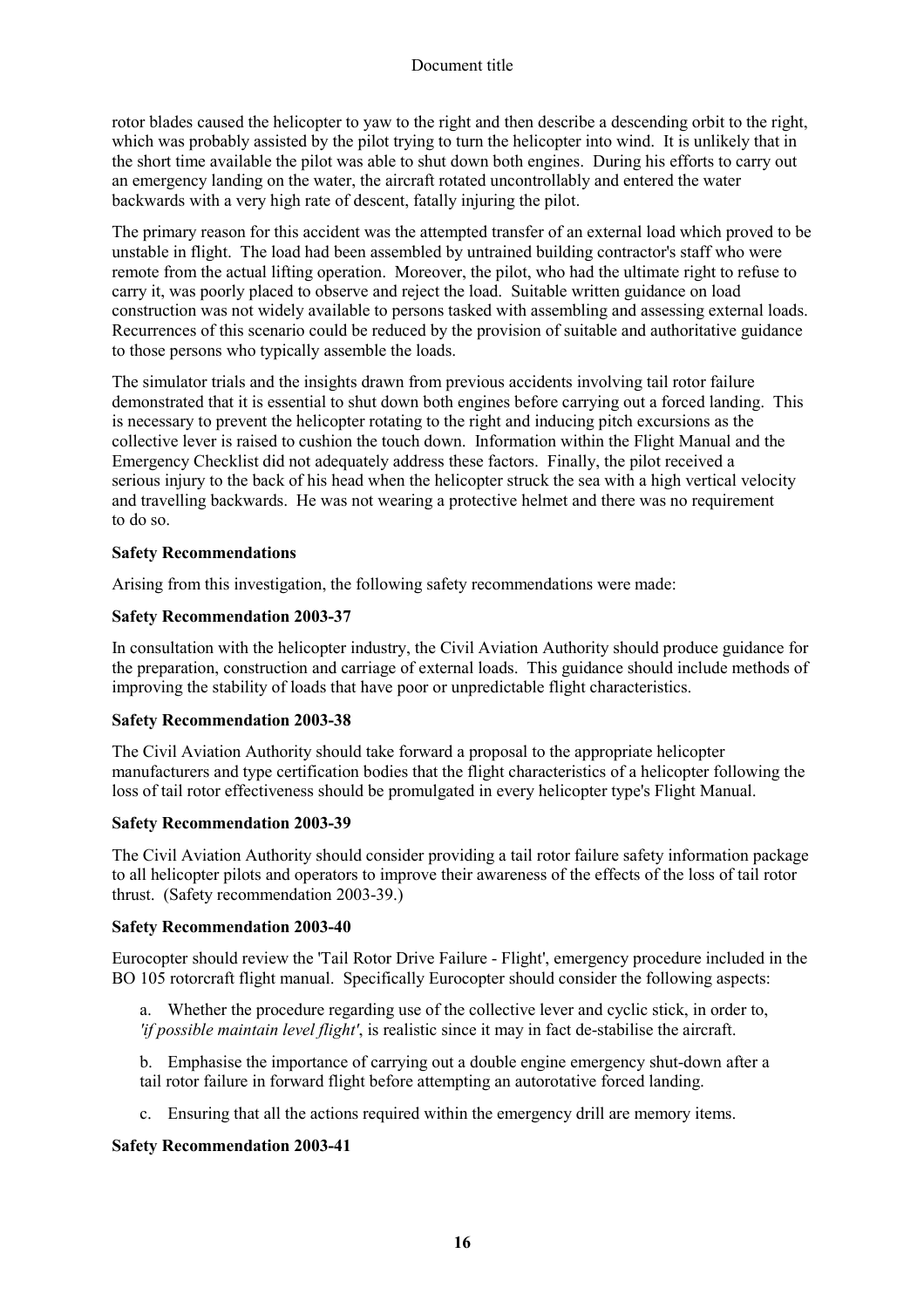rotor blades caused the helicopter to yaw to the right and then describe a descending orbit to the right, which was probably assisted by the pilot trying to turn the helicopter into wind. It is unlikely that in the short time available the pilot was able to shut down both engines. During his efforts to carry out an emergency landing on the water, the aircraft rotated uncontrollably and entered the water backwards with a very high rate of descent, fatally injuring the pilot.

The primary reason for this accident was the attempted transfer of an external load which proved to be unstable in flight. The load had been assembled by untrained building contractor's staff who were remote from the actual lifting operation. Moreover, the pilot, who had the ultimate right to refuse to carry it, was poorly placed to observe and reject the load. Suitable written guidance on load construction was not widely available to persons tasked with assembling and assessing external loads. Recurrences of this scenario could be reduced by the provision of suitable and authoritative guidance to those persons who typically assemble the loads.

The simulator trials and the insights drawn from previous accidents involving tail rotor failure demonstrated that it is essential to shut down both engines before carrying out a forced landing. This is necessary to prevent the helicopter rotating to the right and inducing pitch excursions as the collective lever is raised to cushion the touch down. Information within the Flight Manual and the Emergency Checklist did not adequately address these factors. Finally, the pilot received a serious injury to the back of his head when the helicopter struck the sea with a high vertical velocity and travelling backwards. He was not wearing a protective helmet and there was no requirement to do so.

## **Safety Recommendations**

Arising from this investigation, the following safety recommendations were made:

## **Safety Recommendation 2003-37**

In consultation with the helicopter industry, the Civil Aviation Authority should produce guidance for the preparation, construction and carriage of external loads. This guidance should include methods of improving the stability of loads that have poor or unpredictable flight characteristics.

#### **Safety Recommendation 2003-38**

The Civil Aviation Authority should take forward a proposal to the appropriate helicopter manufacturers and type certification bodies that the flight characteristics of a helicopter following the loss of tail rotor effectiveness should be promulgated in every helicopter type's Flight Manual.

#### **Safety Recommendation 2003-39**

The Civil Aviation Authority should consider providing a tail rotor failure safety information package to all helicopter pilots and operators to improve their awareness of the effects of the loss of tail rotor thrust. (Safety recommendation 2003-39.)

#### **Safety Recommendation 2003-40**

Eurocopter should review the 'Tail Rotor Drive Failure - Flight', emergency procedure included in the BO 105 rotorcraft flight manual. Specifically Eurocopter should consider the following aspects:

a. Whether the procedure regarding use of the collective lever and cyclic stick, in order to, *'if possible maintain level flight'*, is realistic since it may in fact de-stabilise the aircraft.

b. Emphasise the importance of carrying out a double engine emergency shut-down after a tail rotor failure in forward flight before attempting an autorotative forced landing.

c. Ensuring that all the actions required within the emergency drill are memory items.

# **Safety Recommendation 2003-41**